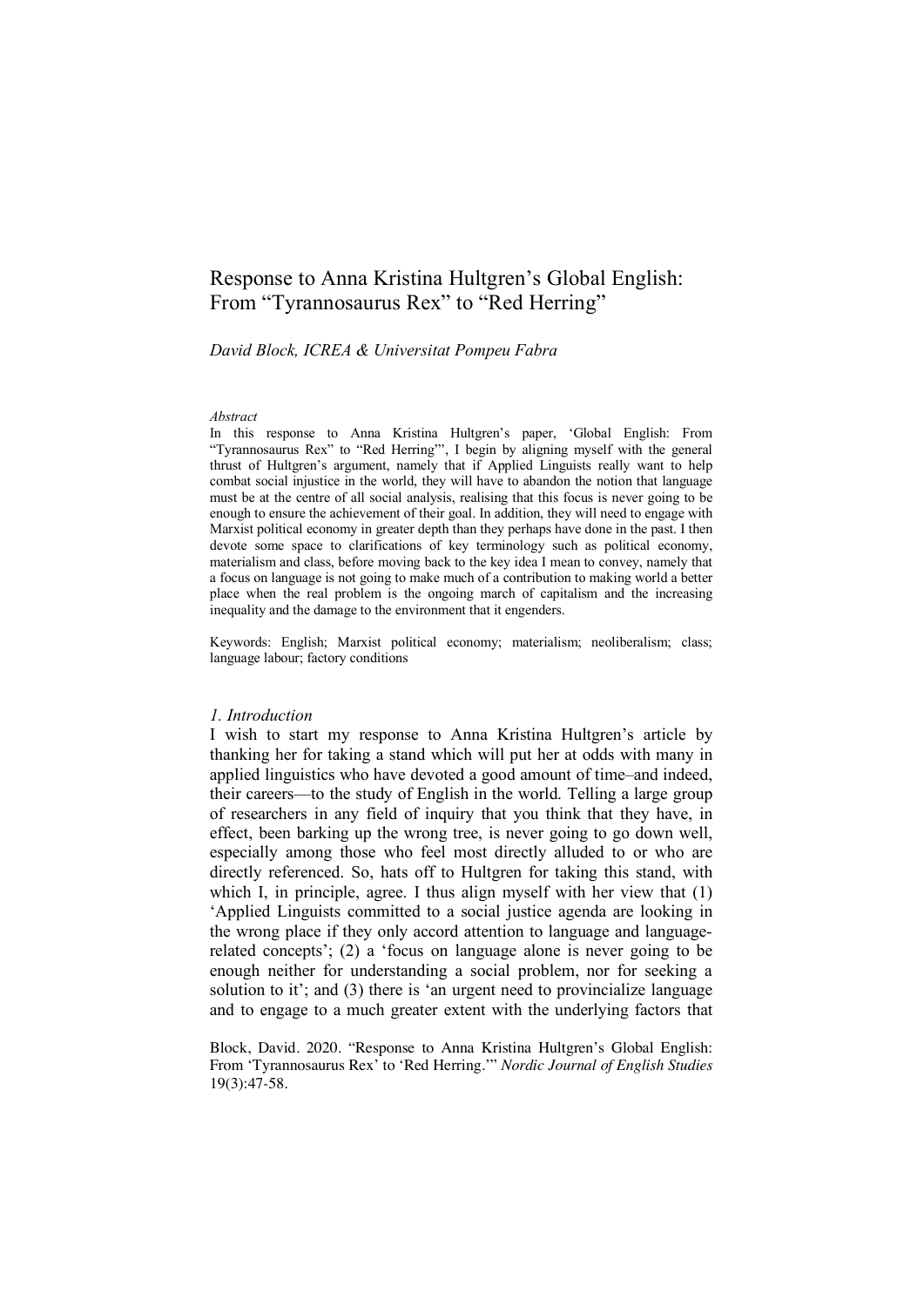# Response to Anna Kristina Hultgren's Global English: From "Tyrannosaurus Rex" to "Red Herring"

*David Block, ICREA & Universitat Pompeu Fabra*

#### *Abstract*

In this response to Anna Kristina Hultgren's paper, 'Global English: From "Tyrannosaurus Rex" to "Red Herring"', I begin by aligning myself with the general thrust of Hultgren's argument, namely that if Applied Linguists really want to help combat social injustice in the world, they will have to abandon the notion that language must be at the centre of all social analysis, realising that this focus is never going to be enough to ensure the achievement of their goal. In addition, they will need to engage with Marxist political economy in greater depth than they perhaps have done in the past. I then devote some space to clarifications of key terminology such as political economy, materialism and class, before moving back to the key idea I mean to convey, namely that a focus on language is not going to make much of a contribution to making world a better place when the real problem is the ongoing march of capitalism and the increasing inequality and the damage to the environment that it engenders.

Keywords: English; Marxist political economy; materialism; neoliberalism; class; language labour; factory conditions

#### *1. Introduction*

I wish to start my response to Anna Kristina Hultgren's article by thanking her for taking a stand which will put her at odds with many in applied linguistics who have devoted a good amount of time–and indeed, their careers—to the study of English in the world. Telling a large group of researchers in any field of inquiry that you think that they have, in effect, been barking up the wrong tree, is never going to go down well, especially among those who feel most directly alluded to or who are directly referenced. So, hats off to Hultgren for taking this stand, with which I, in principle, agree. I thus align myself with her view that (1) 'Applied Linguists committed to a social justice agenda are looking in the wrong place if they only accord attention to language and languagerelated concepts'; (2) a 'focus on language alone is never going to be enough neither for understanding a social problem, nor for seeking a solution to it'; and (3) there is 'an urgent need to provincialize language and to engage to a much greater extent with the underlying factors that

Block, David. 2020. "Response to Anna Kristina Hultgren's Global English: From 'Tyrannosaurus Rex' to 'Red Herring.'" *Nordic Journal of English Studies* 19(3):47-58.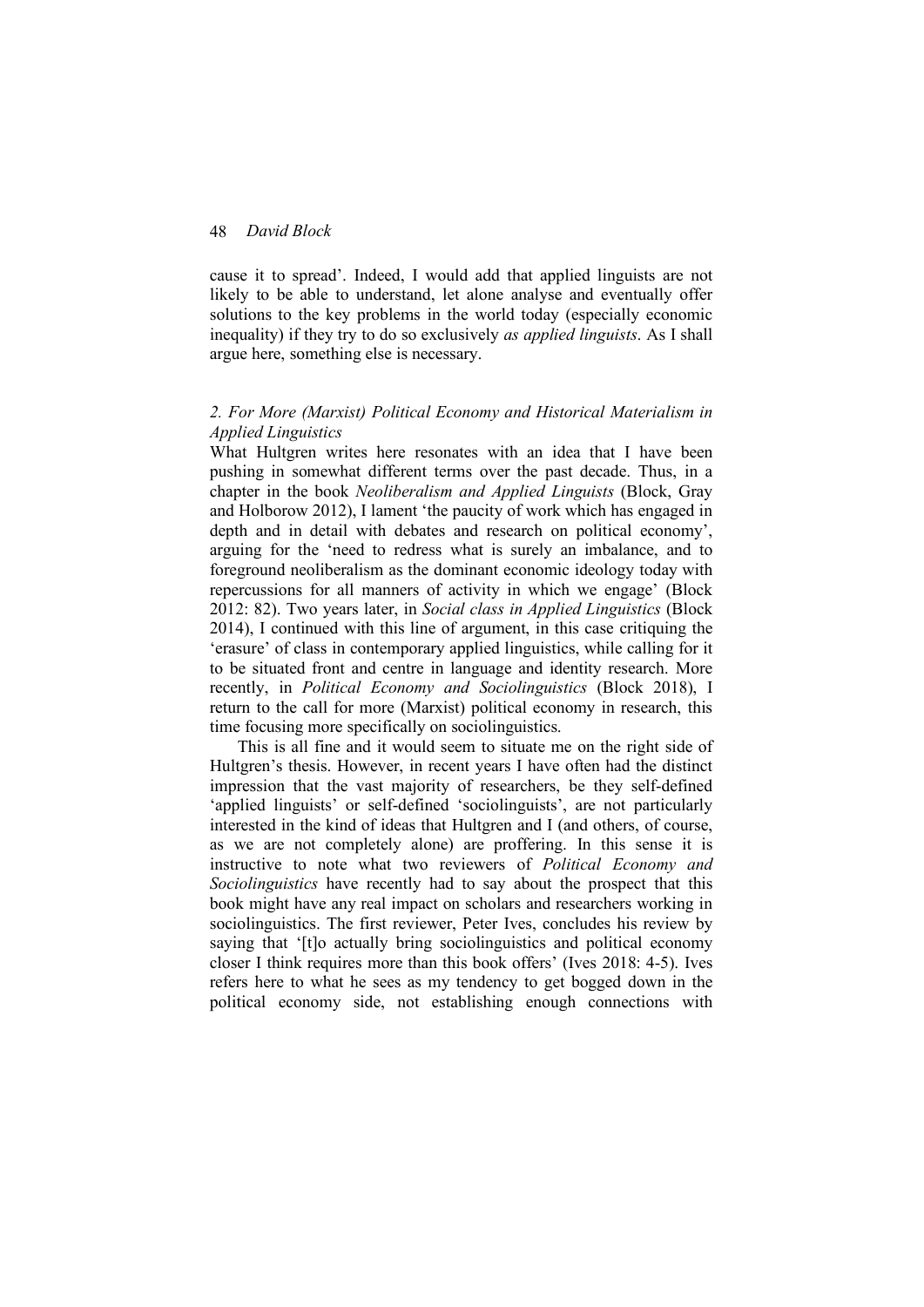cause it to spread'. Indeed, I would add that applied linguists are not likely to be able to understand, let alone analyse and eventually offer solutions to the key problems in the world today (especially economic inequality) if they try to do so exclusively *as applied linguists*. As I shall argue here, something else is necessary.

# *2. For More (Marxist) Political Economy and Historical Materialism in Applied Linguistics*

What Hultgren writes here resonates with an idea that I have been pushing in somewhat different terms over the past decade. Thus, in a chapter in the book *Neoliberalism and Applied Linguists* (Block, Gray and Holborow 2012), I lament 'the paucity of work which has engaged in depth and in detail with debates and research on political economy', arguing for the 'need to redress what is surely an imbalance, and to foreground neoliberalism as the dominant economic ideology today with repercussions for all manners of activity in which we engage' (Block 2012: 82). Two years later, in *Social class in Applied Linguistics* (Block 2014), I continued with this line of argument, in this case critiquing the 'erasure' of class in contemporary applied linguistics, while calling for it to be situated front and centre in language and identity research. More recently, in *Political Economy and Sociolinguistics* (Block 2018), I return to the call for more (Marxist) political economy in research, this time focusing more specifically on sociolinguistics.

This is all fine and it would seem to situate me on the right side of Hultgren's thesis. However, in recent years I have often had the distinct impression that the vast majority of researchers, be they self-defined 'applied linguists' or self-defined 'sociolinguists', are not particularly interested in the kind of ideas that Hultgren and I (and others, of course, as we are not completely alone) are proffering. In this sense it is instructive to note what two reviewers of *Political Economy and Sociolinguistics* have recently had to say about the prospect that this book might have any real impact on scholars and researchers working in sociolinguistics. The first reviewer, Peter Ives, concludes his review by saying that '[t]o actually bring sociolinguistics and political economy closer I think requires more than this book offers' (Ives 2018: 4-5). Ives refers here to what he sees as my tendency to get bogged down in the political economy side, not establishing enough connections with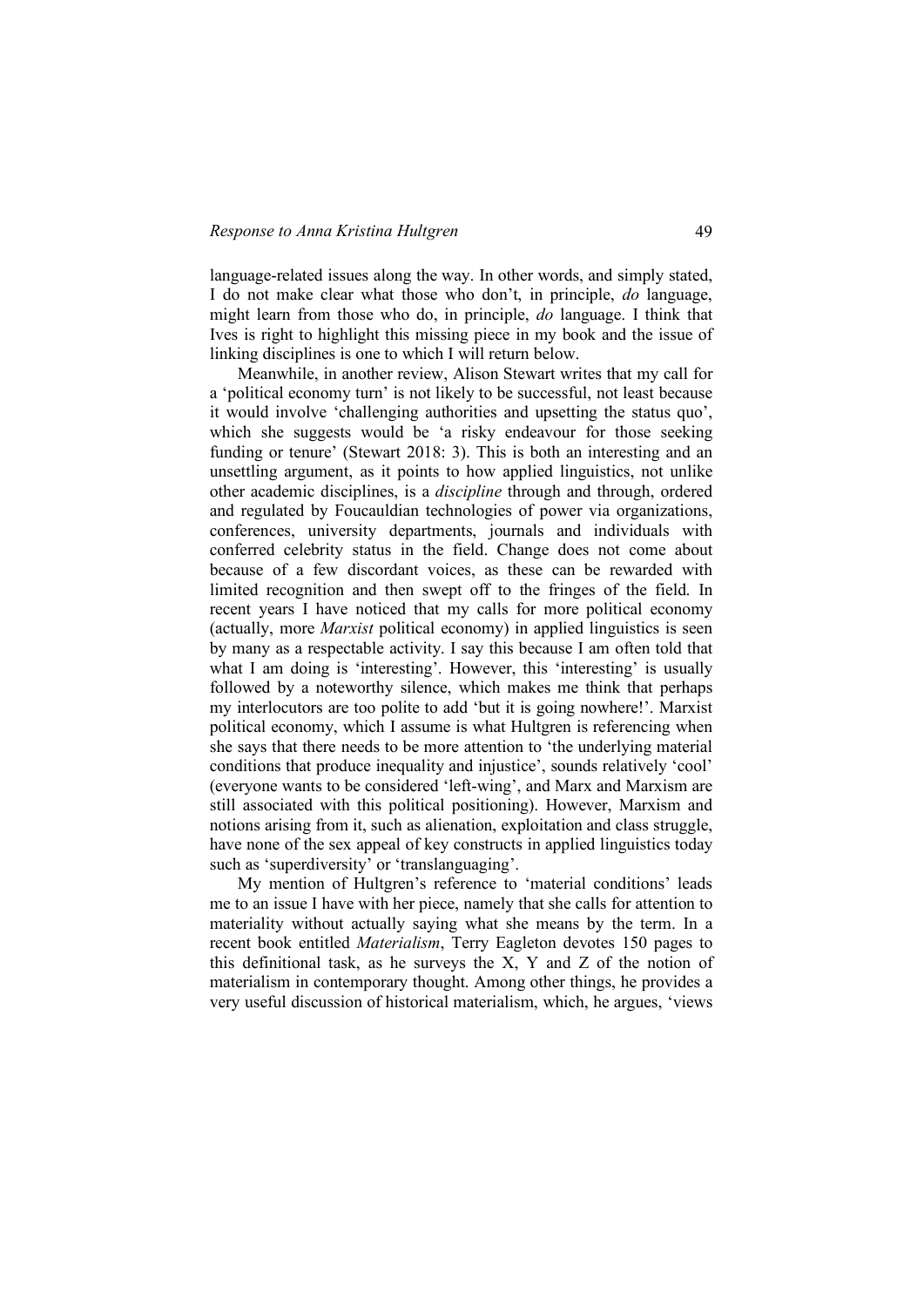language-related issues along the way. In other words, and simply stated, I do not make clear what those who don't, in principle, *do* language, might learn from those who do, in principle, *do* language. I think that Ives is right to highlight this missing piece in my book and the issue of linking disciplines is one to which I will return below.

Meanwhile, in another review, Alison Stewart writes that my call for a 'political economy turn' is not likely to be successful, not least because it would involve 'challenging authorities and upsetting the status quo', which she suggests would be 'a risky endeavour for those seeking funding or tenure' (Stewart 2018: 3). This is both an interesting and an unsettling argument, as it points to how applied linguistics, not unlike other academic disciplines, is a *discipline* through and through, ordered and regulated by Foucauldian technologies of power via organizations, conferences, university departments, journals and individuals with conferred celebrity status in the field. Change does not come about because of a few discordant voices, as these can be rewarded with limited recognition and then swept off to the fringes of the field. In recent years I have noticed that my calls for more political economy (actually, more *Marxist* political economy) in applied linguistics is seen by many as a respectable activity. I say this because I am often told that what I am doing is 'interesting'. However, this 'interesting' is usually followed by a noteworthy silence, which makes me think that perhaps my interlocutors are too polite to add 'but it is going nowhere!'. Marxist political economy, which I assume is what Hultgren is referencing when she says that there needs to be more attention to 'the underlying material conditions that produce inequality and injustice', sounds relatively 'cool' (everyone wants to be considered 'left-wing', and Marx and Marxism are still associated with this political positioning). However, Marxism and notions arising from it, such as alienation, exploitation and class struggle, have none of the sex appeal of key constructs in applied linguistics today such as 'superdiversity' or 'translanguaging'.

My mention of Hultgren's reference to 'material conditions' leads me to an issue I have with her piece, namely that she calls for attention to materiality without actually saying what she means by the term. In a recent book entitled *Materialism*, Terry Eagleton devotes 150 pages to this definitional task, as he surveys the X, Y and Z of the notion of materialism in contemporary thought. Among other things, he provides a very useful discussion of historical materialism, which, he argues, 'views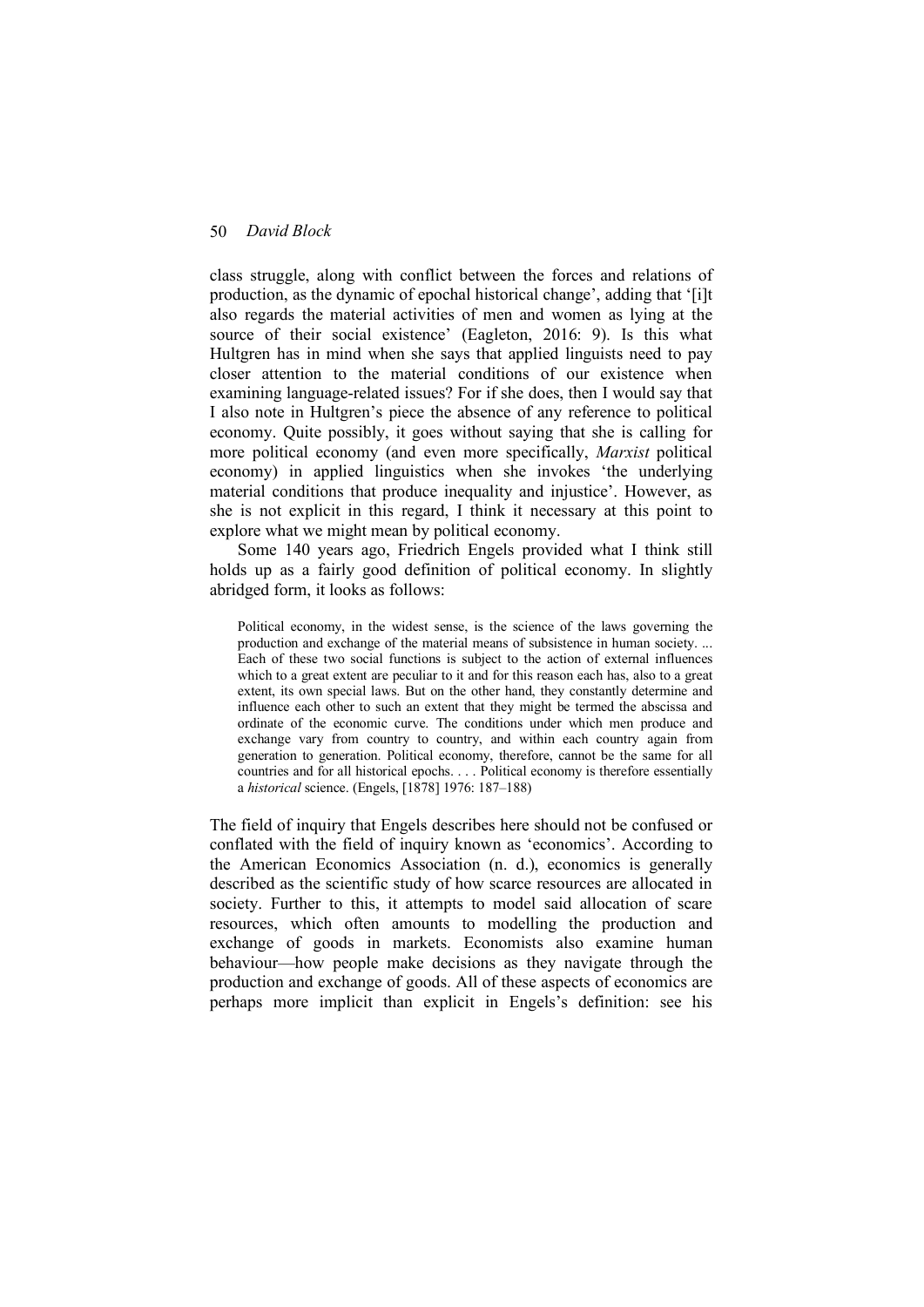class struggle, along with conflict between the forces and relations of production, as the dynamic of epochal historical change', adding that '[i]t also regards the material activities of men and women as lying at the source of their social existence' (Eagleton, 2016: 9). Is this what Hultgren has in mind when she says that applied linguists need to pay closer attention to the material conditions of our existence when examining language-related issues? For if she does, then I would say that I also note in Hultgren's piece the absence of any reference to political economy. Quite possibly, it goes without saying that she is calling for more political economy (and even more specifically, *Marxist* political economy) in applied linguistics when she invokes 'the underlying material conditions that produce inequality and injustice'. However, as she is not explicit in this regard, I think it necessary at this point to explore what we might mean by political economy.

Some 140 years ago, Friedrich Engels provided what I think still holds up as a fairly good definition of political economy. In slightly abridged form, it looks as follows:

Political economy, in the widest sense, is the science of the laws governing the production and exchange of the material means of subsistence in human society. ... Each of these two social functions is subject to the action of external influences which to a great extent are peculiar to it and for this reason each has, also to a great extent, its own special laws. But on the other hand, they constantly determine and influence each other to such an extent that they might be termed the abscissa and ordinate of the economic curve. The conditions under which men produce and exchange vary from country to country, and within each country again from generation to generation. Political economy, therefore, cannot be the same for all countries and for all historical epochs. . . . Political economy is therefore essentially a *historical* science. (Engels, [1878] 1976: 187–188)

The field of inquiry that Engels describes here should not be confused or conflated with the field of inquiry known as 'economics'. According to the American Economics Association (n. d.), economics is generally described as the scientific study of how scarce resources are allocated in society. Further to this, it attempts to model said allocation of scare resources, which often amounts to modelling the production and exchange of goods in markets. Economists also examine human behaviour—how people make decisions as they navigate through the production and exchange of goods. All of these aspects of economics are perhaps more implicit than explicit in Engels's definition: see his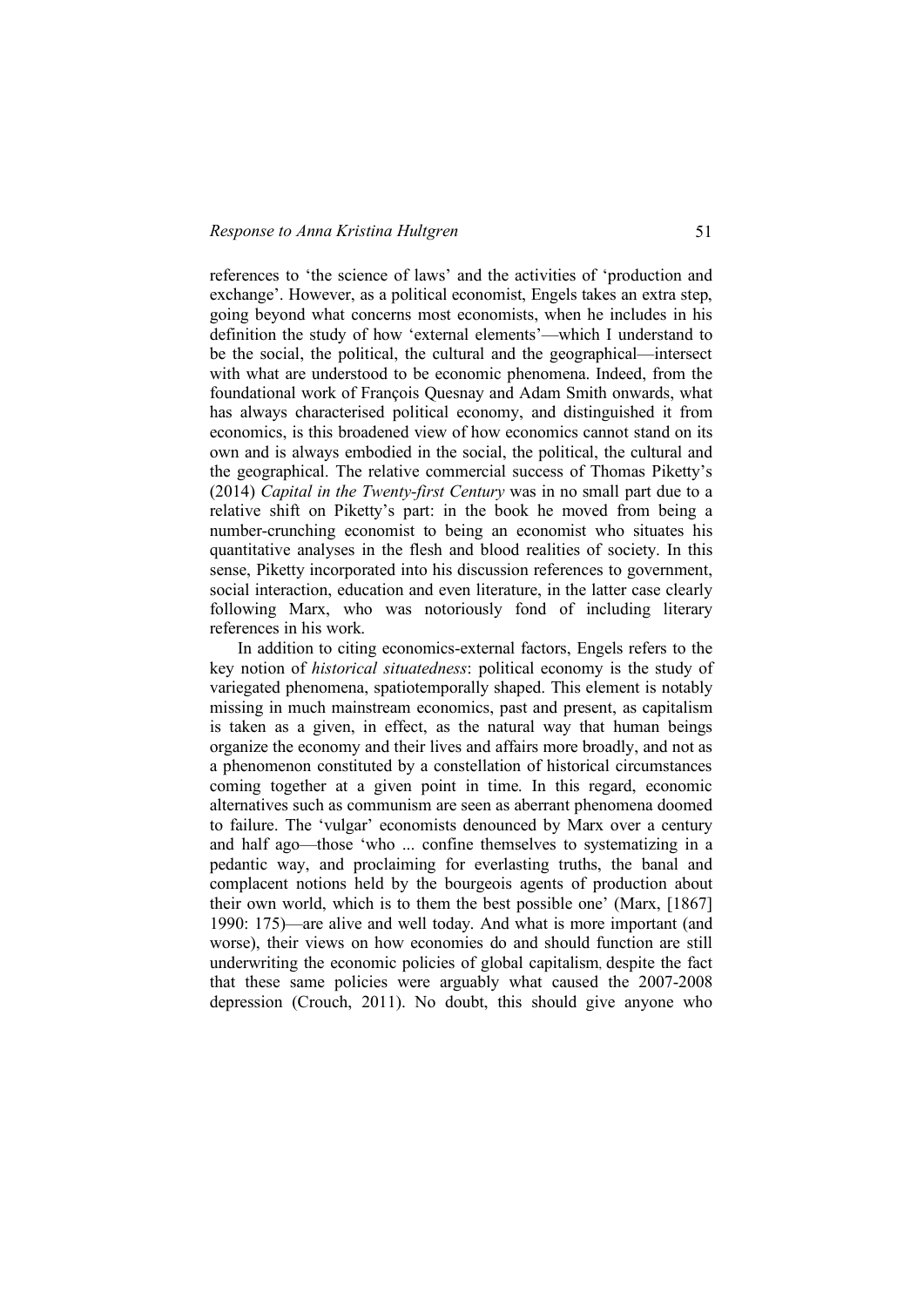references to 'the science of laws' and the activities of 'production and exchange'. However, as a political economist, Engels takes an extra step, going beyond what concerns most economists, when he includes in his definition the study of how 'external elements'—which I understand to be the social, the political, the cultural and the geographical—intersect with what are understood to be economic phenomena. Indeed, from the foundational work of François Quesnay and Adam Smith onwards, what has always characterised political economy, and distinguished it from economics, is this broadened view of how economics cannot stand on its own and is always embodied in the social, the political, the cultural and the geographical. The relative commercial success of Thomas Piketty's (2014) *Capital in the Twenty-first Century* was in no small part due to a relative shift on Piketty's part: in the book he moved from being a number-crunching economist to being an economist who situates his quantitative analyses in the flesh and blood realities of society. In this sense, Piketty incorporated into his discussion references to government, social interaction, education and even literature, in the latter case clearly following Marx, who was notoriously fond of including literary references in his work.

In addition to citing economics-external factors, Engels refers to the key notion of *historical situatedness*: political economy is the study of variegated phenomena, spatiotemporally shaped. This element is notably missing in much mainstream economics, past and present, as capitalism is taken as a given, in effect, as the natural way that human beings organize the economy and their lives and affairs more broadly, and not as a phenomenon constituted by a constellation of historical circumstances coming together at a given point in time. In this regard, economic alternatives such as communism are seen as aberrant phenomena doomed to failure. The 'vulgar' economists denounced by Marx over a century and half ago—those 'who ... confine themselves to systematizing in a pedantic way, and proclaiming for everlasting truths, the banal and complacent notions held by the bourgeois agents of production about their own world, which is to them the best possible one' (Marx, [1867] 1990: 175)—are alive and well today. And what is more important (and worse), their views on how economies do and should function are still underwriting the economic policies of global capitalism, despite the fact that these same policies were arguably what caused the 2007-2008 depression (Crouch, 2011). No doubt, this should give anyone who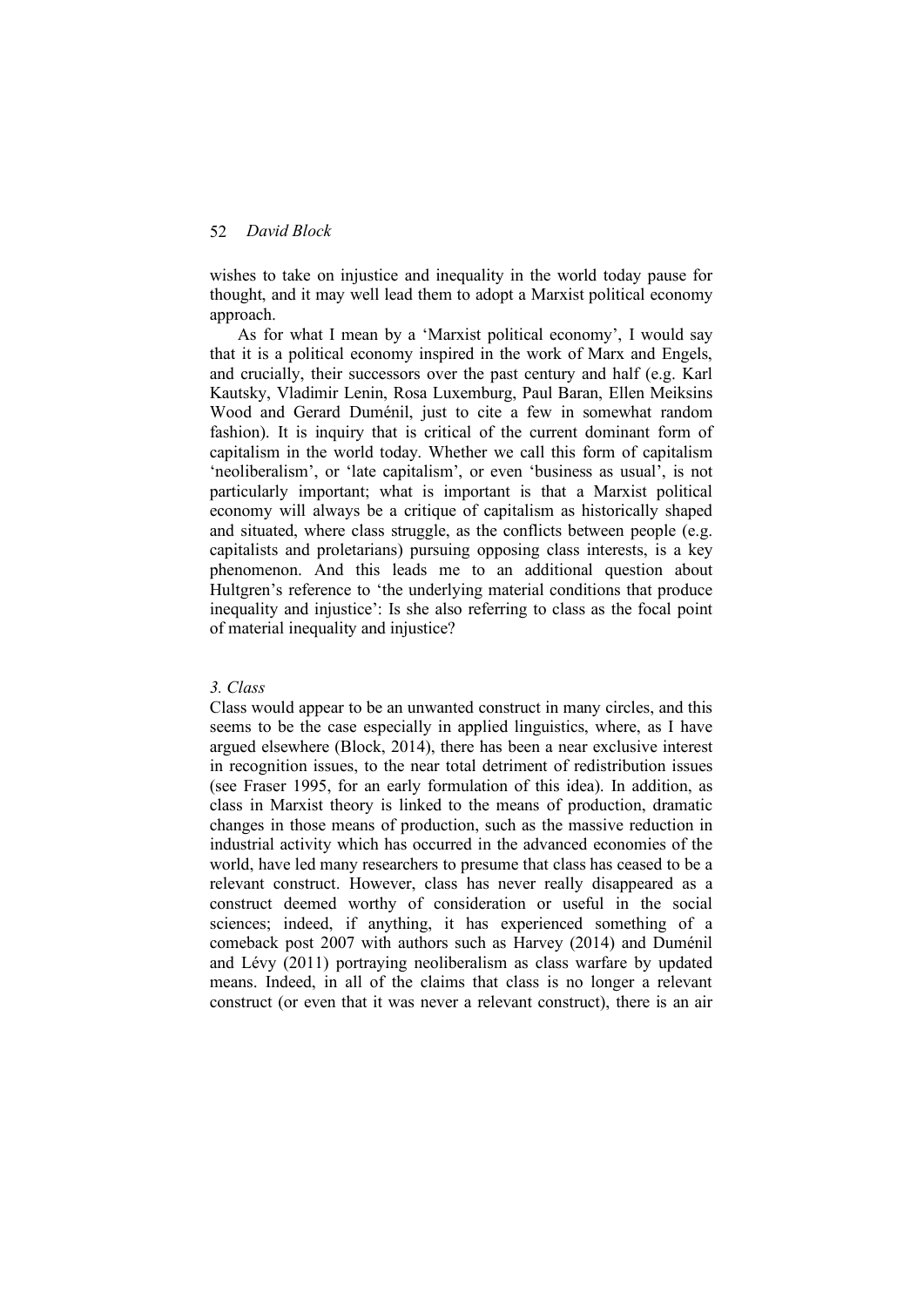wishes to take on injustice and inequality in the world today pause for thought, and it may well lead them to adopt a Marxist political economy approach.

As for what I mean by a 'Marxist political economy', I would say that it is a political economy inspired in the work of Marx and Engels, and crucially, their successors over the past century and half (e.g. Karl Kautsky, Vladimir Lenin, Rosa Luxemburg, Paul Baran, Ellen Meiksins Wood and Gerard Duménil, just to cite a few in somewhat random fashion). It is inquiry that is critical of the current dominant form of capitalism in the world today. Whether we call this form of capitalism 'neoliberalism', or 'late capitalism', or even 'business as usual', is not particularly important; what is important is that a Marxist political economy will always be a critique of capitalism as historically shaped and situated, where class struggle, as the conflicts between people (e.g. capitalists and proletarians) pursuing opposing class interests, is a key phenomenon. And this leads me to an additional question about Hultgren's reference to 'the underlying material conditions that produce inequality and injustice': Is she also referring to class as the focal point of material inequality and injustice?

# *3. Class*

Class would appear to be an unwanted construct in many circles, and this seems to be the case especially in applied linguistics, where, as I have argued elsewhere (Block, 2014), there has been a near exclusive interest in recognition issues, to the near total detriment of redistribution issues (see Fraser 1995, for an early formulation of this idea). In addition, as class in Marxist theory is linked to the means of production, dramatic changes in those means of production, such as the massive reduction in industrial activity which has occurred in the advanced economies of the world, have led many researchers to presume that class has ceased to be a relevant construct. However, class has never really disappeared as a construct deemed worthy of consideration or useful in the social sciences; indeed, if anything, it has experienced something of a comeback post 2007 with authors such as Harvey (2014) and Duménil and Lévy (2011) portraying neoliberalism as class warfare by updated means. Indeed, in all of the claims that class is no longer a relevant construct (or even that it was never a relevant construct), there is an air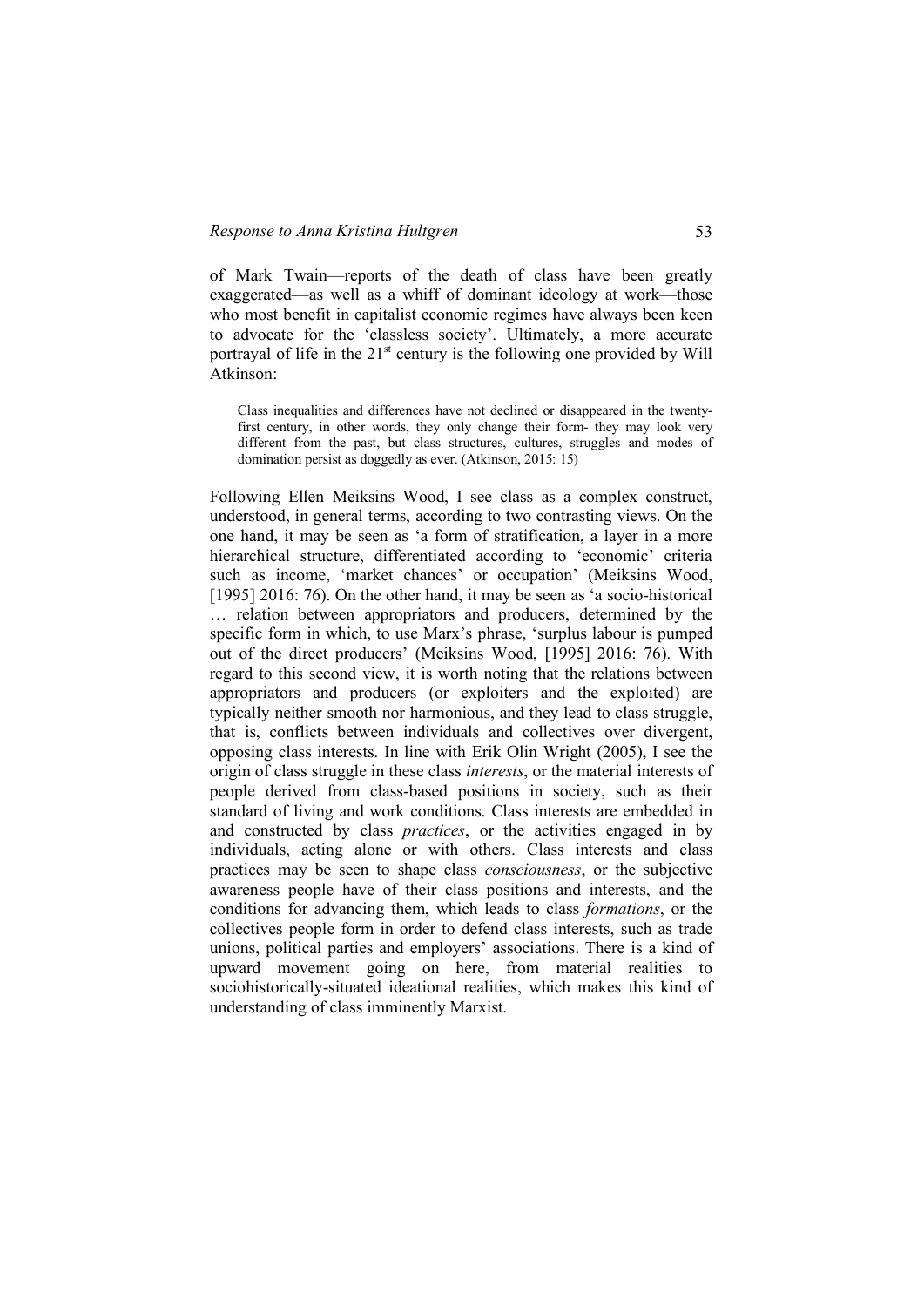of Mark Twain—reports of the death of class have been greatly exaggerated—as well as a whiff of dominant ideology at work—those who most benefit in capitalist economic regimes have always been keen to advocate for the 'classless society'. Ultimately, a more accurate portrayal of life in the  $21<sup>st</sup>$  century is the following one provided by Will Atkinson:

Class inequalities and differences have not declined or disappeared in the twentyfirst century, in other words, they only change their form- they may look very different from the past, but class structures, cultures, struggles and modes of domination persist as doggedly as ever. (Atkinson, 2015: 15)

Following Ellen Meiksins Wood, I see class as a complex construct, understood, in general terms, according to two contrasting views. On the one hand, it may be seen as 'a form of stratification, a layer in a more hierarchical structure, differentiated according to 'economic' criteria such as income, 'market chances' or occupation' (Meiksins Wood, [1995] 2016: 76). On the other hand, it may be seen as 'a socio-historical … relation between appropriators and producers, determined by the specific form in which, to use Marx's phrase, 'surplus labour is pumped out of the direct producers' (Meiksins Wood, [1995] 2016: 76). With regard to this second view, it is worth noting that the relations between appropriators and producers (or exploiters and the exploited) are typically neither smooth nor harmonious, and they lead to class struggle, that is, conflicts between individuals and collectives over divergent, opposing class interests. In line with Erik Olin Wright (2005), I see the origin of class struggle in these class *interests*, or the material interests of people derived from class-based positions in society, such as their standard of living and work conditions. Class interests are embedded in and constructed by class *practices*, or the activities engaged in by individuals, acting alone or with others. Class interests and class practices may be seen to shape class *consciousness*, or the subjective awareness people have of their class positions and interests, and the conditions for advancing them, which leads to class *formations*, or the collectives people form in order to defend class interests, such as trade unions, political parties and employers' associations. There is a kind of upward movement going on here, from material realities to sociohistorically-situated ideational realities, which makes this kind of understanding of class imminently Marxist.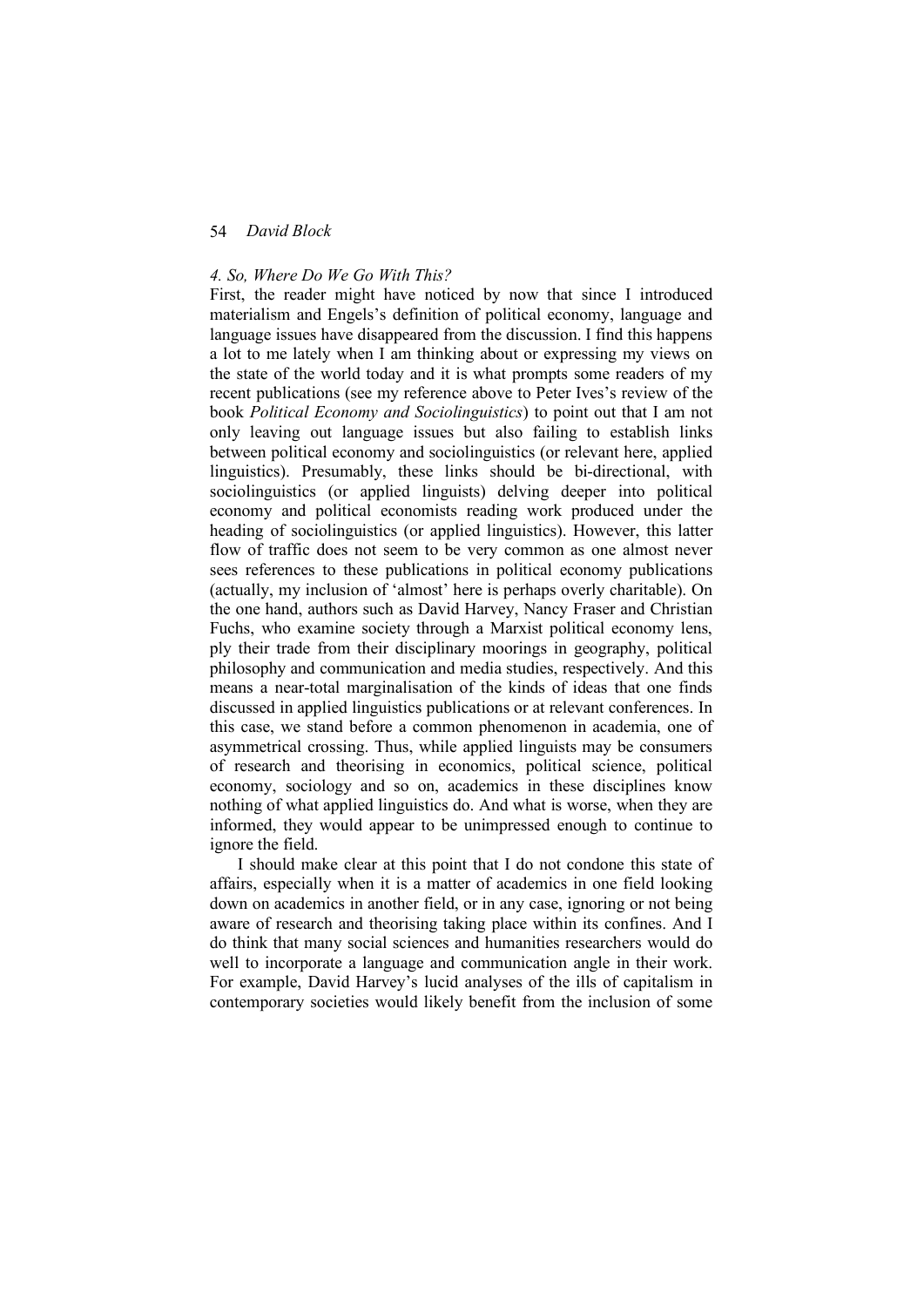### *4. So, Where Do We Go With This?*

First, the reader might have noticed by now that since I introduced materialism and Engels's definition of political economy, language and language issues have disappeared from the discussion. I find this happens a lot to me lately when I am thinking about or expressing my views on the state of the world today and it is what prompts some readers of my recent publications (see my reference above to Peter Ives's review of the book *Political Economy and Sociolinguistics*) to point out that I am not only leaving out language issues but also failing to establish links between political economy and sociolinguistics (or relevant here, applied linguistics). Presumably, these links should be bi-directional, with sociolinguistics (or applied linguists) delving deeper into political economy and political economists reading work produced under the heading of sociolinguistics (or applied linguistics). However, this latter flow of traffic does not seem to be very common as one almost never sees references to these publications in political economy publications (actually, my inclusion of 'almost' here is perhaps overly charitable). On the one hand, authors such as David Harvey, Nancy Fraser and Christian Fuchs, who examine society through a Marxist political economy lens, ply their trade from their disciplinary moorings in geography, political philosophy and communication and media studies, respectively. And this means a near-total marginalisation of the kinds of ideas that one finds discussed in applied linguistics publications or at relevant conferences. In this case, we stand before a common phenomenon in academia, one of asymmetrical crossing. Thus, while applied linguists may be consumers of research and theorising in economics, political science, political economy, sociology and so on, academics in these disciplines know nothing of what applied linguistics do. And what is worse, when they are informed, they would appear to be unimpressed enough to continue to ignore the field.

I should make clear at this point that I do not condone this state of affairs, especially when it is a matter of academics in one field looking down on academics in another field, or in any case, ignoring or not being aware of research and theorising taking place within its confines. And I do think that many social sciences and humanities researchers would do well to incorporate a language and communication angle in their work. For example, David Harvey's lucid analyses of the ills of capitalism in contemporary societies would likely benefit from the inclusion of some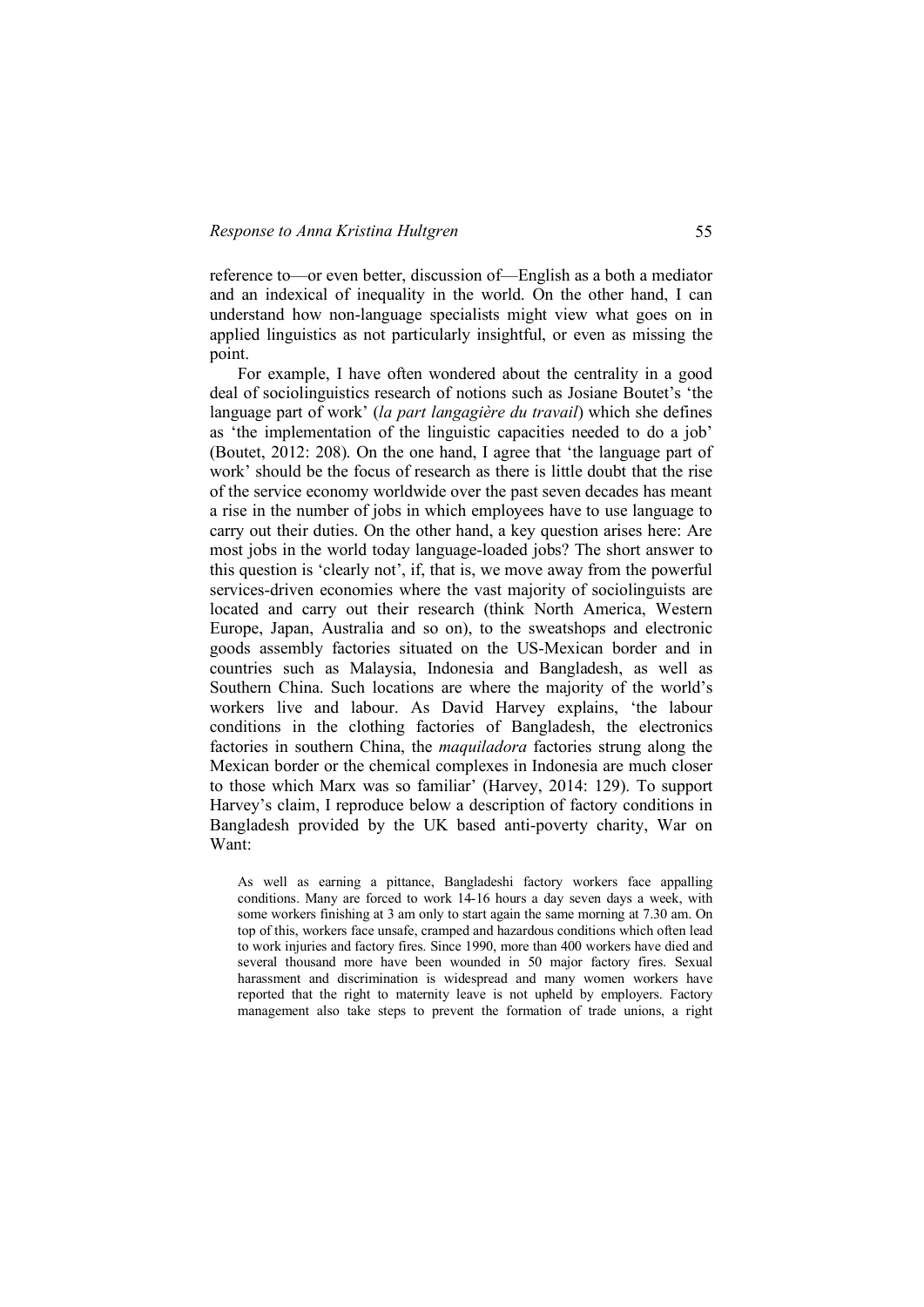reference to—or even better, discussion of—English as a both a mediator and an indexical of inequality in the world. On the other hand, I can understand how non-language specialists might view what goes on in applied linguistics as not particularly insightful, or even as missing the point.

For example, I have often wondered about the centrality in a good deal of sociolinguistics research of notions such as Josiane Boutet's 'the language part of work' (*la part langagière du travail*) which she defines as 'the implementation of the linguistic capacities needed to do a job' (Boutet, 2012: 208). On the one hand, I agree that 'the language part of work' should be the focus of research as there is little doubt that the rise of the service economy worldwide over the past seven decades has meant a rise in the number of jobs in which employees have to use language to carry out their duties. On the other hand, a key question arises here: Are most jobs in the world today language-loaded jobs? The short answer to this question is 'clearly not', if, that is, we move away from the powerful services-driven economies where the vast majority of sociolinguists are located and carry out their research (think North America, Western Europe, Japan, Australia and so on), to the sweatshops and electronic goods assembly factories situated on the US-Mexican border and in countries such as Malaysia, Indonesia and Bangladesh, as well as Southern China. Such locations are where the majority of the world's workers live and labour. As David Harvey explains, 'the labour conditions in the clothing factories of Bangladesh, the electronics factories in southern China, the *maquiladora* factories strung along the Mexican border or the chemical complexes in Indonesia are much closer to those which Marx was so familiar' (Harvey, 2014: 129). To support Harvey's claim, I reproduce below a description of factory conditions in Bangladesh provided by the UK based anti-poverty charity, War on Want:

As well as earning a pittance, Bangladeshi factory workers face appalling conditions. Many are forced to work 14-16 hours a day seven days a week, with some workers finishing at 3 am only to start again the same morning at 7.30 am. On top of this, workers face unsafe, cramped and hazardous conditions which often lead to work injuries and factory fires. Since 1990, more than 400 workers have died and several thousand more have been wounded in 50 major factory fires. Sexual harassment and discrimination is widespread and many women workers have reported that the right to maternity leave is not upheld by employers. Factory management also take steps to prevent the formation of trade unions, a right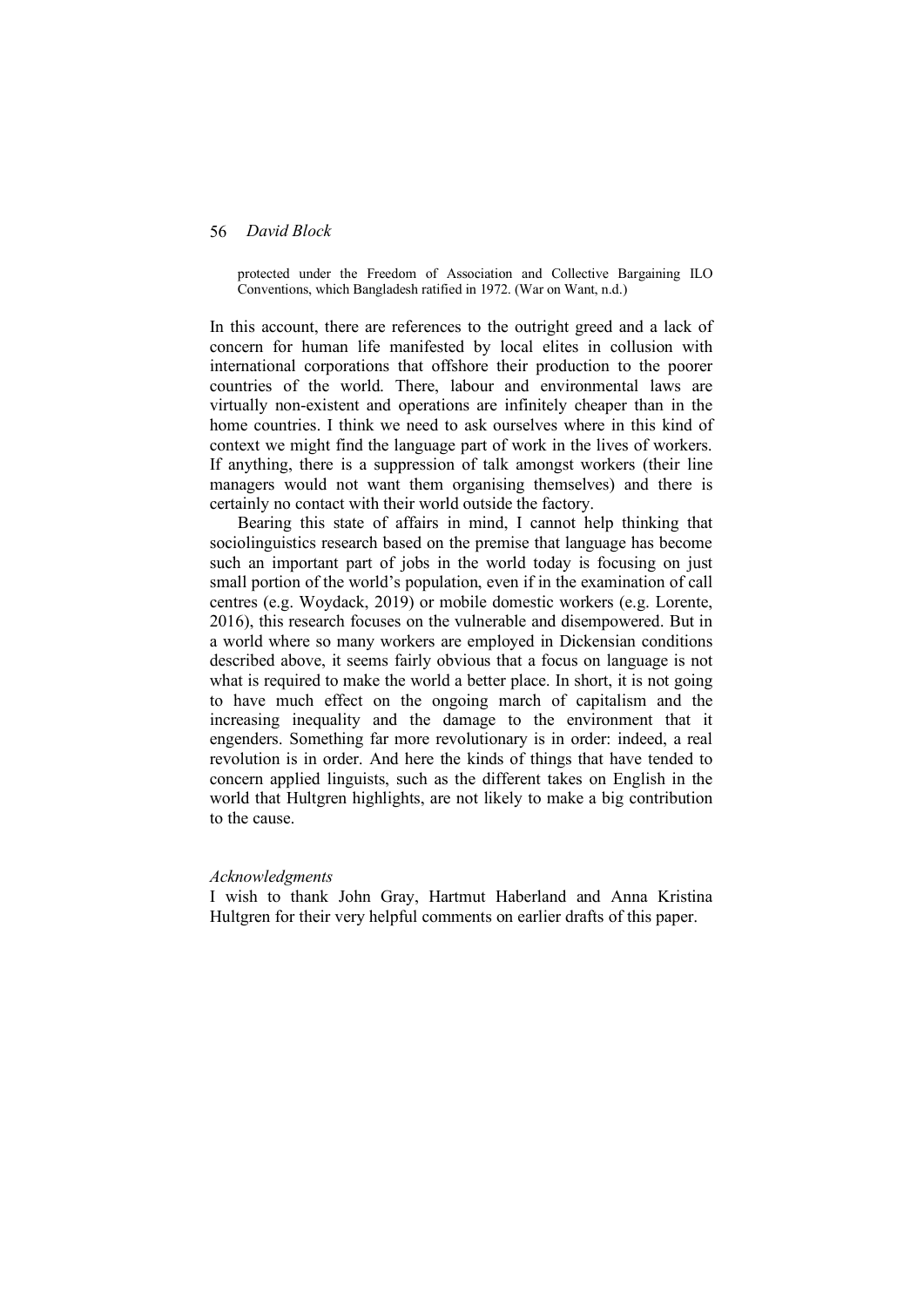protected under the Freedom of Association and Collective Bargaining ILO Conventions, which Bangladesh ratified in 1972. (War on Want, n.d.)

In this account, there are references to the outright greed and a lack of concern for human life manifested by local elites in collusion with international corporations that offshore their production to the poorer countries of the world. There, labour and environmental laws are virtually non-existent and operations are infinitely cheaper than in the home countries. I think we need to ask ourselves where in this kind of context we might find the language part of work in the lives of workers. If anything, there is a suppression of talk amongst workers (their line managers would not want them organising themselves) and there is certainly no contact with their world outside the factory.

Bearing this state of affairs in mind, I cannot help thinking that sociolinguistics research based on the premise that language has become such an important part of jobs in the world today is focusing on just small portion of the world's population, even if in the examination of call centres (e.g. Woydack, 2019) or mobile domestic workers (e.g. Lorente, 2016), this research focuses on the vulnerable and disempowered. But in a world where so many workers are employed in Dickensian conditions described above, it seems fairly obvious that a focus on language is not what is required to make the world a better place. In short, it is not going to have much effect on the ongoing march of capitalism and the increasing inequality and the damage to the environment that it engenders. Something far more revolutionary is in order: indeed, a real revolution is in order. And here the kinds of things that have tended to concern applied linguists, such as the different takes on English in the world that Hultgren highlights, are not likely to make a big contribution to the cause.

#### *Acknowledgments*

I wish to thank John Gray, Hartmut Haberland and Anna Kristina Hultgren for their very helpful comments on earlier drafts of this paper.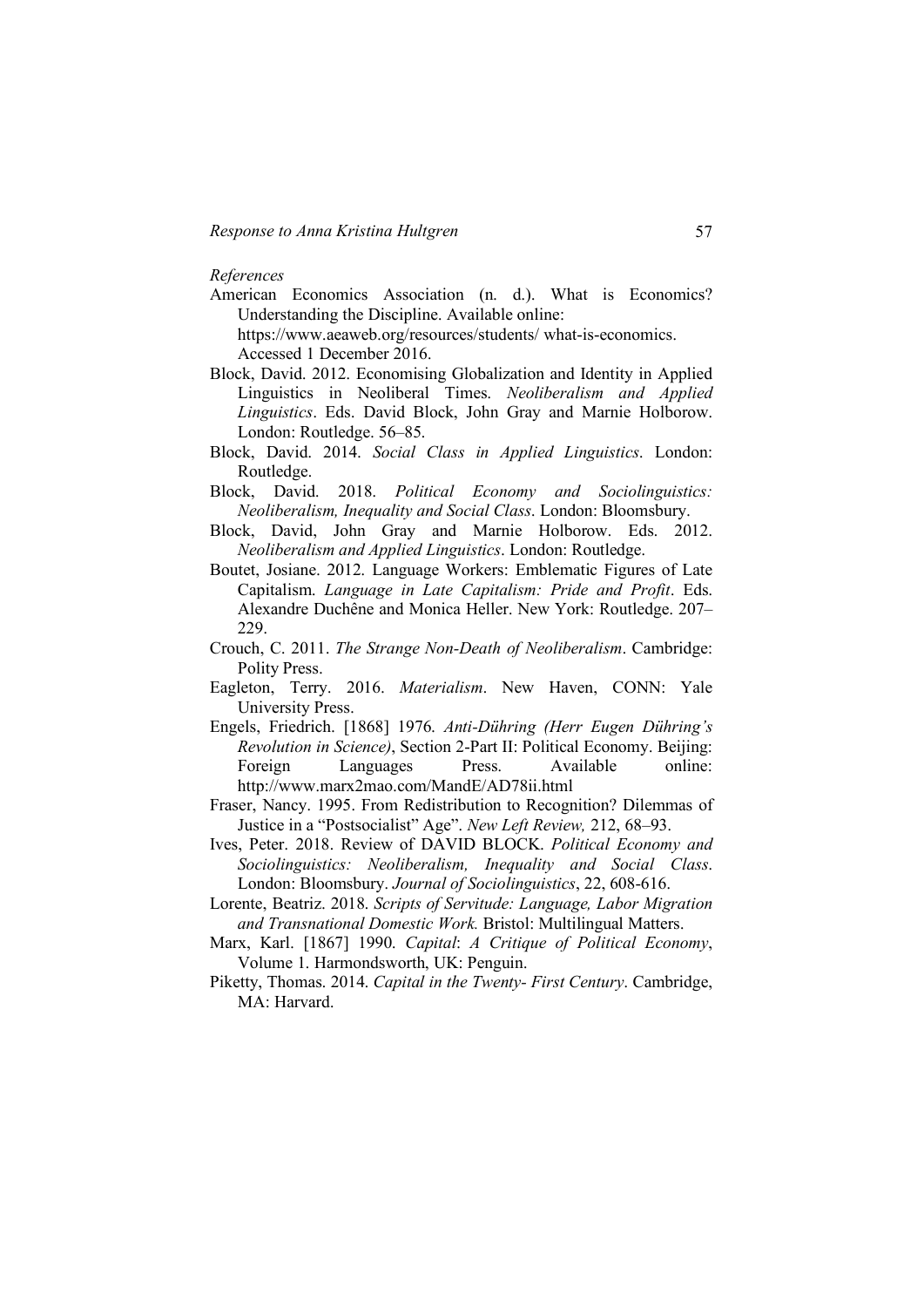#### *References*

American Economics Association (n. d.). What is Economics? Understanding the Discipline. Available online:

https://www.aeaweb.org/resources/students/ what-is-economics. Accessed 1 December 2016.

- Block, David. 2012. Economising Globalization and Identity in Applied Linguistics in Neoliberal Times. *Neoliberalism and Applied Linguistics*. Eds. David Block, John Gray and Marnie Holborow. London: Routledge. 56–85.
- Block, David. 2014. *Social Class in Applied Linguistics*. London: Routledge.
- Block, David. 2018. *Political Economy and Sociolinguistics: Neoliberalism, Inequality and Social Class*. London: Bloomsbury.
- Block, David, John Gray and Marnie Holborow. Eds. 2012. *Neoliberalism and Applied Linguistics*. London: Routledge.
- Boutet, Josiane. 2012. Language Workers: Emblematic Figures of Late Capitalism. *Language in Late Capitalism: Pride and Profit*. Eds. Alexandre Duchêne and Monica Heller. New York: Routledge. 207– 229.
- Crouch, C. 2011. *The Strange Non-Death of Neoliberalism*. Cambridge: Polity Press.
- Eagleton, Terry. 2016. *Materialism*. New Haven, CONN: Yale University Press.
- Engels, Friedrich. [1868] 1976. *Anti-Dühring (Herr Eugen Dühring's Revolution in Science)*, Section 2-Part II: Political Economy. Beijing: Foreign Languages Press. Available online: http://www.marx2mao.com/MandE/AD78ii.html
- Fraser, Nancy. 1995. From Redistribution to Recognition? Dilemmas of Justice in a "Postsocialist" Age". *New Left Review,* 212, 68–93.
- Ives, Peter. 2018. Review of DAVID BLOCK. *Political Economy and Sociolinguistics: Neoliberalism, Inequality and Social Class*. London: Bloomsbury. *Journal of Sociolinguistics*, 22, 608-616.
- Lorente, Beatriz. 2018. *Scripts of Servitude: Language, Labor Migration and Transnational Domestic Work.* Bristol: Multilingual Matters.
- Marx, Karl. [1867] 1990. *Capital*: *A Critique of Political Economy*, Volume 1. Harmondsworth, UK: Penguin.
- Piketty, Thomas. 2014. *Capital in the Twenty- First Century*. Cambridge, MA: Harvard.